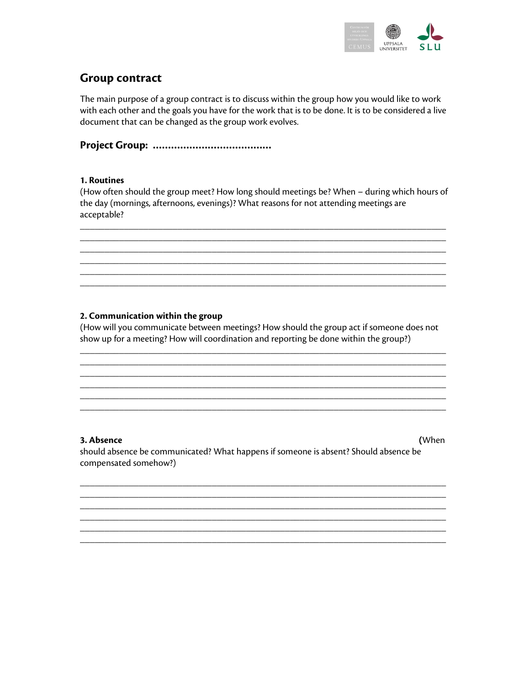

# **Group contract**

The main purpose of a group contract is to discuss within the group how you would like to work with each other and the goals you have for the work that is to be done. It is to be considered a live document that can be changed as the group work evolves.

**Project Group: …………………………………** 

### **1. Routines**

(How often should the group meet? How long should meetings be? When – during which hours of the day (mornings, afternoons, evenings)? What reasons for not attending meetings are acceptable?

\_\_\_\_\_\_\_\_\_\_\_\_\_\_\_\_\_\_\_\_\_\_\_\_\_\_\_\_\_\_\_\_\_\_\_\_\_\_\_\_\_\_\_\_\_\_\_\_\_\_\_\_\_\_\_\_\_\_\_\_\_\_\_\_\_\_\_\_\_\_\_\_\_\_\_

\_\_\_\_\_\_\_\_\_\_\_\_\_\_\_\_\_\_\_\_\_\_\_\_\_\_\_\_\_\_\_\_\_\_\_\_\_\_\_\_\_\_\_\_\_\_\_\_\_\_\_\_\_\_\_\_\_\_\_\_\_\_\_\_\_\_\_\_\_\_\_\_\_\_\_ \_\_\_\_\_\_\_\_\_\_\_\_\_\_\_\_\_\_\_\_\_\_\_\_\_\_\_\_\_\_\_\_\_\_\_\_\_\_\_\_\_\_\_\_\_\_\_\_\_\_\_\_\_\_\_\_\_\_\_\_\_\_\_\_\_\_\_\_\_\_\_\_\_\_\_ \_\_\_\_\_\_\_\_\_\_\_\_\_\_\_\_\_\_\_\_\_\_\_\_\_\_\_\_\_\_\_\_\_\_\_\_\_\_\_\_\_\_\_\_\_\_\_\_\_\_\_\_\_\_\_\_\_\_\_\_\_\_\_\_\_\_\_\_\_\_\_\_\_\_\_ \_\_\_\_\_\_\_\_\_\_\_\_\_\_\_\_\_\_\_\_\_\_\_\_\_\_\_\_\_\_\_\_\_\_\_\_\_\_\_\_\_\_\_\_\_\_\_\_\_\_\_\_\_\_\_\_\_\_\_\_\_\_\_\_\_\_\_\_\_\_\_\_\_\_\_

### **2. Communication within the group**

(How will you communicate between meetings? How should the group act if someone does not show up for a meeting? How will coordination and reporting be done within the group?)

\_\_\_\_\_\_\_\_\_\_\_\_\_\_\_\_\_\_\_\_\_\_\_\_\_\_\_\_\_\_\_\_\_\_\_\_\_\_\_\_\_\_\_\_\_\_\_\_\_\_\_\_\_\_\_\_\_\_\_\_\_\_\_\_\_\_\_\_\_\_\_\_\_\_\_ \_\_\_\_\_\_\_\_\_\_\_\_\_\_\_\_\_\_\_\_\_\_\_\_\_\_\_\_\_\_\_\_\_\_\_\_\_\_\_\_\_\_\_\_\_\_\_\_\_\_\_\_\_\_\_\_\_\_\_\_\_\_\_\_\_\_\_\_\_\_\_\_\_\_\_ \_\_\_\_\_\_\_\_\_\_\_\_\_\_\_\_\_\_\_\_\_\_\_\_\_\_\_\_\_\_\_\_\_\_\_\_\_\_\_\_\_\_\_\_\_\_\_\_\_\_\_\_\_\_\_\_\_\_\_\_\_\_\_\_\_\_\_\_\_\_\_\_\_\_\_ \_\_\_\_\_\_\_\_\_\_\_\_\_\_\_\_\_\_\_\_\_\_\_\_\_\_\_\_\_\_\_\_\_\_\_\_\_\_\_\_\_\_\_\_\_\_\_\_\_\_\_\_\_\_\_\_\_\_\_\_\_\_\_\_\_\_\_\_\_\_\_\_\_\_\_ \_\_\_\_\_\_\_\_\_\_\_\_\_\_\_\_\_\_\_\_\_\_\_\_\_\_\_\_\_\_\_\_\_\_\_\_\_\_\_\_\_\_\_\_\_\_\_\_\_\_\_\_\_\_\_\_\_\_\_\_\_\_\_\_\_\_\_\_\_\_\_\_\_\_\_ \_\_\_\_\_\_\_\_\_\_\_\_\_\_\_\_\_\_\_\_\_\_\_\_\_\_\_\_\_\_\_\_\_\_\_\_\_\_\_\_\_\_\_\_\_\_\_\_\_\_\_\_\_\_\_\_\_\_\_\_\_\_\_\_\_\_\_\_\_\_\_\_\_\_\_

**3. Absence (**When should absence be communicated? What happens if someone is absent? Should absence be compensated somehow?)

\_\_\_\_\_\_\_\_\_\_\_\_\_\_\_\_\_\_\_\_\_\_\_\_\_\_\_\_\_\_\_\_\_\_\_\_\_\_\_\_\_\_\_\_\_\_\_\_\_\_\_\_\_\_\_\_\_\_\_\_\_\_\_\_\_\_\_\_\_\_\_\_\_\_\_ \_\_\_\_\_\_\_\_\_\_\_\_\_\_\_\_\_\_\_\_\_\_\_\_\_\_\_\_\_\_\_\_\_\_\_\_\_\_\_\_\_\_\_\_\_\_\_\_\_\_\_\_\_\_\_\_\_\_\_\_\_\_\_\_\_\_\_\_\_\_\_\_\_\_\_ \_\_\_\_\_\_\_\_\_\_\_\_\_\_\_\_\_\_\_\_\_\_\_\_\_\_\_\_\_\_\_\_\_\_\_\_\_\_\_\_\_\_\_\_\_\_\_\_\_\_\_\_\_\_\_\_\_\_\_\_\_\_\_\_\_\_\_\_\_\_\_\_\_\_\_ \_\_\_\_\_\_\_\_\_\_\_\_\_\_\_\_\_\_\_\_\_\_\_\_\_\_\_\_\_\_\_\_\_\_\_\_\_\_\_\_\_\_\_\_\_\_\_\_\_\_\_\_\_\_\_\_\_\_\_\_\_\_\_\_\_\_\_\_\_\_\_\_\_\_\_ \_\_\_\_\_\_\_\_\_\_\_\_\_\_\_\_\_\_\_\_\_\_\_\_\_\_\_\_\_\_\_\_\_\_\_\_\_\_\_\_\_\_\_\_\_\_\_\_\_\_\_\_\_\_\_\_\_\_\_\_\_\_\_\_\_\_\_\_\_\_\_\_\_\_\_ \_\_\_\_\_\_\_\_\_\_\_\_\_\_\_\_\_\_\_\_\_\_\_\_\_\_\_\_\_\_\_\_\_\_\_\_\_\_\_\_\_\_\_\_\_\_\_\_\_\_\_\_\_\_\_\_\_\_\_\_\_\_\_\_\_\_\_\_\_\_\_\_\_\_\_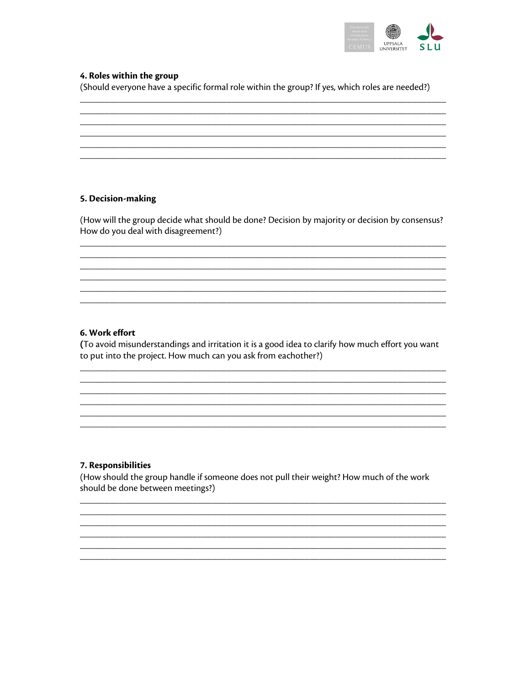

### 4. Roles within the group

(Should everyone have a specific formal role within the group? If yes, which roles are needed?)

### 5. Decision-making

(How will the group decide what should be done? Decision by majority or decision by consensus? How do you deal with disagreement?)

### 6. Work effort

(To avoid misunderstandings and irritation it is a good idea to clarify how much effort you want to put into the project. How much can you ask from eachother?)

#### 7. Responsibilities

(How should the group handle if someone does not pull their weight? How much of the work should be done between meetings?)